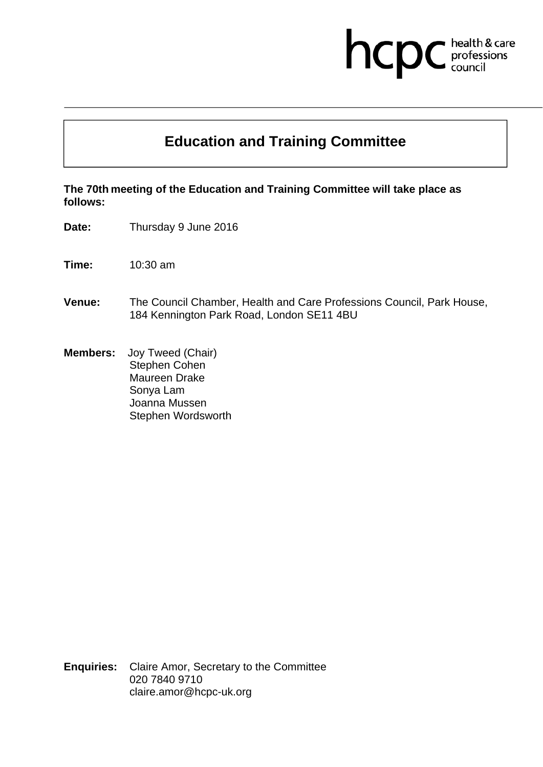# hcpc health & care<br>professions<br>council

## **Education and Training Committee**

**The 70th meeting of the Education and Training Committee will take place as follows:** 

**Date:** Thursday 9 June 2016

**Time:** 10:30 am

- **Venue:** The Council Chamber, Health and Care Professions Council, Park House, 184 Kennington Park Road, London SE11 4BU
- **Members:** Joy Tweed (Chair) Stephen Cohen Maureen Drake Sonya Lam Joanna Mussen Stephen Wordsworth

**Enquiries:** Claire Amor, Secretary to the Committee 020 7840 9710 claire.amor@hcpc-uk.org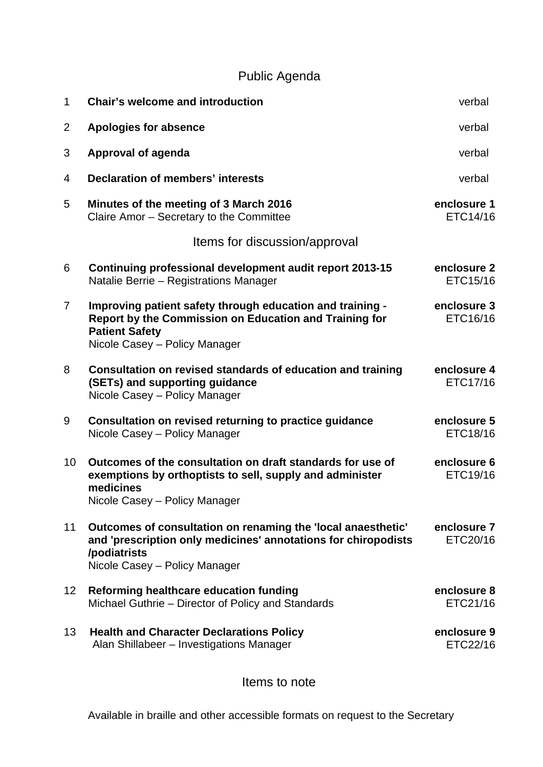## Public Agenda

| $\mathbf 1$       | <b>Chair's welcome and introduction</b>                                                                                                                                         | verbal                  |
|-------------------|---------------------------------------------------------------------------------------------------------------------------------------------------------------------------------|-------------------------|
| $\overline{2}$    | <b>Apologies for absence</b>                                                                                                                                                    | verbal                  |
| 3                 | Approval of agenda                                                                                                                                                              | verbal                  |
| 4                 | <b>Declaration of members' interests</b>                                                                                                                                        | verbal                  |
| 5                 | Minutes of the meeting of 3 March 2016<br>Claire Amor - Secretary to the Committee                                                                                              | enclosure 1<br>ETC14/16 |
|                   | Items for discussion/approval                                                                                                                                                   |                         |
| 6                 | Continuing professional development audit report 2013-15<br>Natalie Berrie - Registrations Manager                                                                              | enclosure 2<br>ETC15/16 |
| $\overline{7}$    | Improving patient safety through education and training -<br>Report by the Commission on Education and Training for<br><b>Patient Safety</b><br>Nicole Casey - Policy Manager   | enclosure 3<br>ETC16/16 |
| 8                 | Consultation on revised standards of education and training<br>(SETs) and supporting guidance<br>Nicole Casey - Policy Manager                                                  | enclosure 4<br>ETC17/16 |
| 9                 | Consultation on revised returning to practice guidance<br>Nicole Casey - Policy Manager                                                                                         | enclosure 5<br>ETC18/16 |
| 10                | Outcomes of the consultation on draft standards for use of<br>exemptions by orthoptists to sell, supply and administer<br>medicines<br>Nicole Casey – Policy Manager            | enclosure 6<br>ETC19/16 |
| 11                | Outcomes of consultation on renaming the 'local anaesthetic'<br>and 'prescription only medicines' annotations for chiropodists<br>/podiatrists<br>Nicole Casey - Policy Manager | enclosure 7<br>ETC20/16 |
| $12 \overline{ }$ | Reforming healthcare education funding<br>Michael Guthrie - Director of Policy and Standards                                                                                    | enclosure 8<br>ETC21/16 |
| 13                | <b>Health and Character Declarations Policy</b><br>Alan Shillabeer - Investigations Manager                                                                                     | enclosure 9<br>ETC22/16 |

Items to note

Available in braille and other accessible formats on request to the Secretary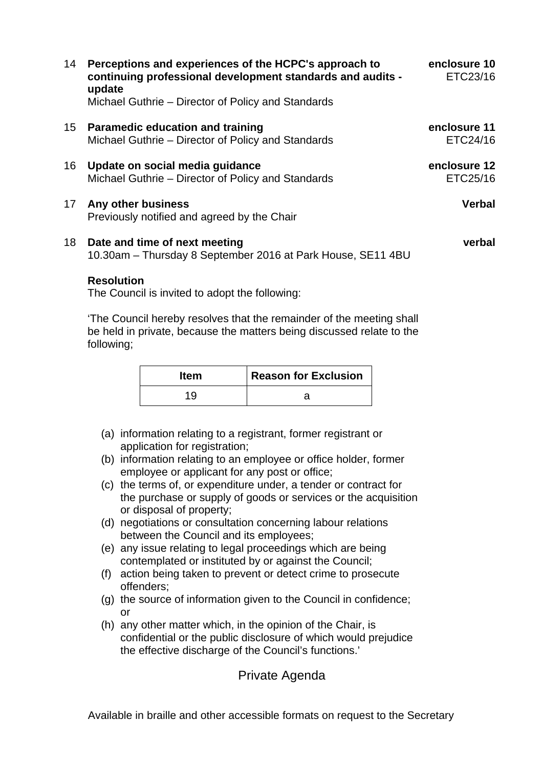| 14 | Perceptions and experiences of the HCPC's approach to<br>continuing professional development standards and audits -<br>update | enclosure 10<br>ETC23/16 |
|----|-------------------------------------------------------------------------------------------------------------------------------|--------------------------|
|    | Michael Guthrie – Director of Policy and Standards                                                                            |                          |
| 15 | <b>Paramedic education and training</b><br>Michael Guthrie – Director of Policy and Standards                                 | enclosure 11<br>ETC24/16 |
| 16 | Update on social media guidance<br>Michael Guthrie – Director of Policy and Standards                                         | enclosure 12<br>ETC25/16 |
| 17 | Any other business<br>Previously notified and agreed by the Chair                                                             | <b>Verbal</b>            |
| 18 | Date and time of next meeting<br>10.30am - Thursday 8 September 2016 at Park House, SE11 4BU                                  | verbal                   |

#### **Resolution**

The Council is invited to adopt the following:

'The Council hereby resolves that the remainder of the meeting shall be held in private, because the matters being discussed relate to the following;

| <b>Item</b> | <b>Reason for Exclusion</b> |
|-------------|-----------------------------|
| 19          |                             |

- (a) information relating to a registrant, former registrant or application for registration;
- (b) information relating to an employee or office holder, former employee or applicant for any post or office;
- (c) the terms of, or expenditure under, a tender or contract for the purchase or supply of goods or services or the acquisition or disposal of property;
- (d) negotiations or consultation concerning labour relations between the Council and its employees;
- (e) any issue relating to legal proceedings which are being contemplated or instituted by or against the Council;
- (f) action being taken to prevent or detect crime to prosecute offenders;
- (g) the source of information given to the Council in confidence; or
- (h) any other matter which, in the opinion of the Chair, is confidential or the public disclosure of which would prejudice the effective discharge of the Council's functions.'

#### Private Agenda